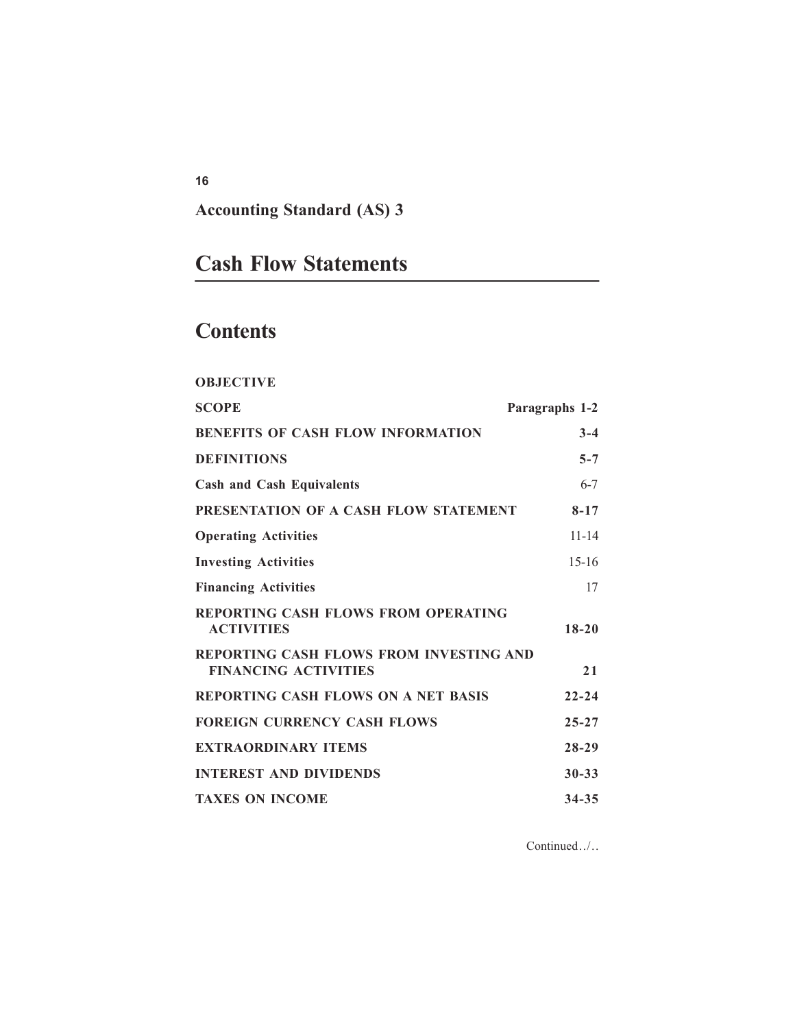**16**

**Accounting Standard (AS) 3**

# **Cash Flow Statements**

## **Contents**

# **OBJECTIVE SCOPE** Paragraphs 1-2 **BENEFITS OF CASH FLOW INFORMATION 3-4 DEFINITIONS 5-7 Cash and Cash Equivalents** 6-7 **PRESENTATION OF A CASH FLOW STATEMENT 8-17 Operating Activities** 11-14 **Investing Activities** 15-16 **Financing Activities** 17 **REPORTING CASH FLOWS FROM OPERATING ACTIVITIES 18-20 REPORTING CASH FLOWS FROM INVESTING AND FINANCING ACTIVITIES** 21 **REPORTING CASH FLOWS ON A NET BASIS 22-24 FOREIGN CURRENCY CASH FLOWS 25-27 EXTRAORDINARY ITEMS 28-29 INTEREST AND DIVIDENDS** 30-33 TAXES ON INCOME 34-35

Continued../..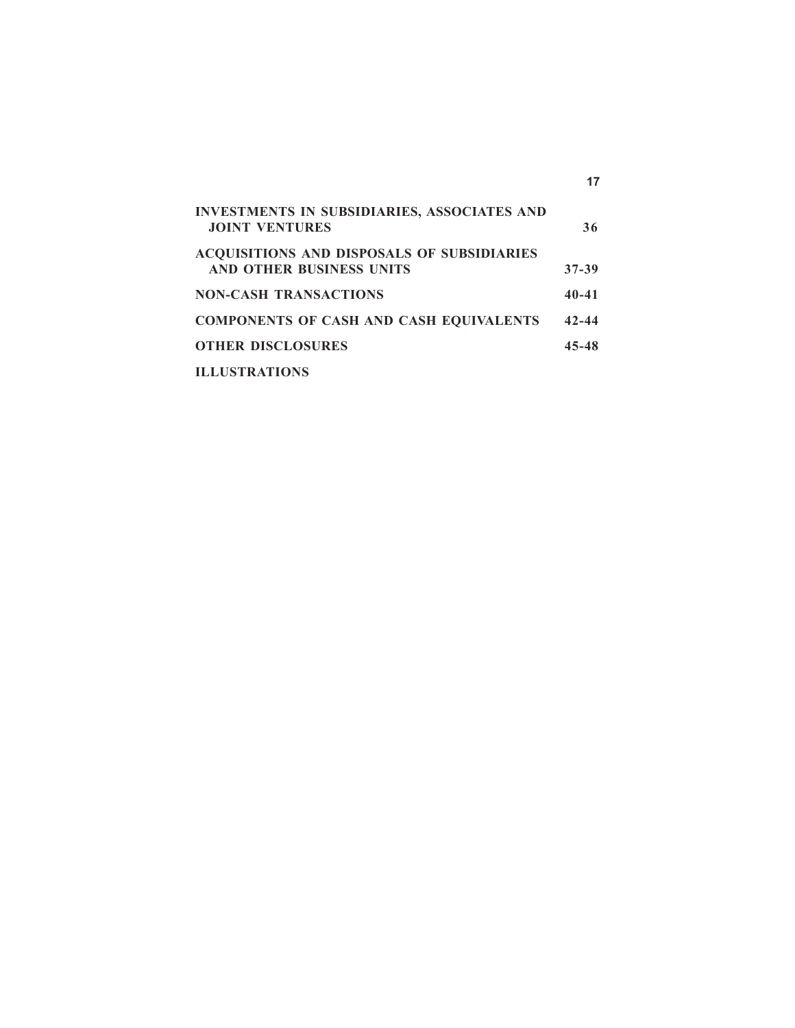| <b>INVESTMENTS IN SUBSIDIARIES, ASSOCIATES AND</b><br><b>JOINT VENTURES</b>   | 36        |
|-------------------------------------------------------------------------------|-----------|
| <b>ACQUISITIONS AND DISPOSALS OF SUBSIDIARIES</b><br>AND OTHER BUSINESS UNITS | 37-39     |
| <b>NON-CASH TRANSACTIONS</b>                                                  | $40 - 41$ |
| <b>COMPONENTS OF CASH AND CASH EQUIVALENTS</b>                                | 42-44     |
| <b>OTHER DISCLOSURES</b>                                                      | 45-48     |
| <b>ILLUSTRATIONS</b>                                                          |           |

**17**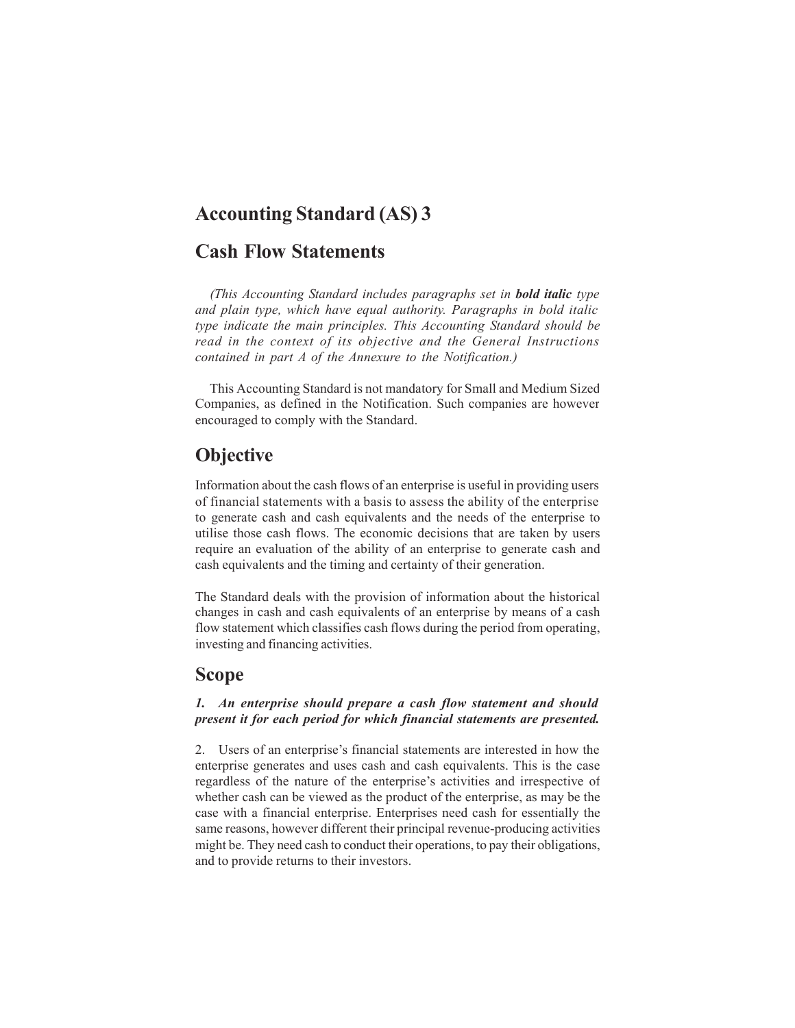## **Accounting Standard (AS) 3**

## **Cash Flow Statements**

*(This Accounting Standard includes paragraphs set in bold italic type and plain type, which have equal authority. Paragraphs in bold italic type indicate the main principles. This Accounting Standard should be read in the context of its objective and the General Instructions contained in part A of the Annexure to the Notification.)*

This Accounting Standard is not mandatory for Small and Medium Sized Companies, as defined in the Notification. Such companies are however encouraged to comply with the Standard.

## **Objective**

Information about the cash flows of an enterprise is useful in providing users of financial statements with a basis to assess the ability of the enterprise to generate cash and cash equivalents and the needs of the enterprise to utilise those cash flows. The economic decisions that are taken by users require an evaluation of the ability of an enterprise to generate cash and cash equivalents and the timing and certainty of their generation.

The Standard deals with the provision of information about the historical changes in cash and cash equivalents of an enterprise by means of a cash flow statement which classifies cash flows during the period from operating, investing and financing activities.

### **Scope**

#### *1. An enterprise should prepare a cash flow statement and should present it for each period for which financial statements are presented.*

2. Users of an enterprise's financial statements are interested in how the enterprise generates and uses cash and cash equivalents. This is the case regardless of the nature of the enterprise's activities and irrespective of whether cash can be viewed as the product of the enterprise, as may be the case with a financial enterprise. Enterprises need cash for essentially the same reasons, however different their principal revenue-producing activities might be. They need cash to conduct their operations, to pay their obligations, and to provide returns to their investors.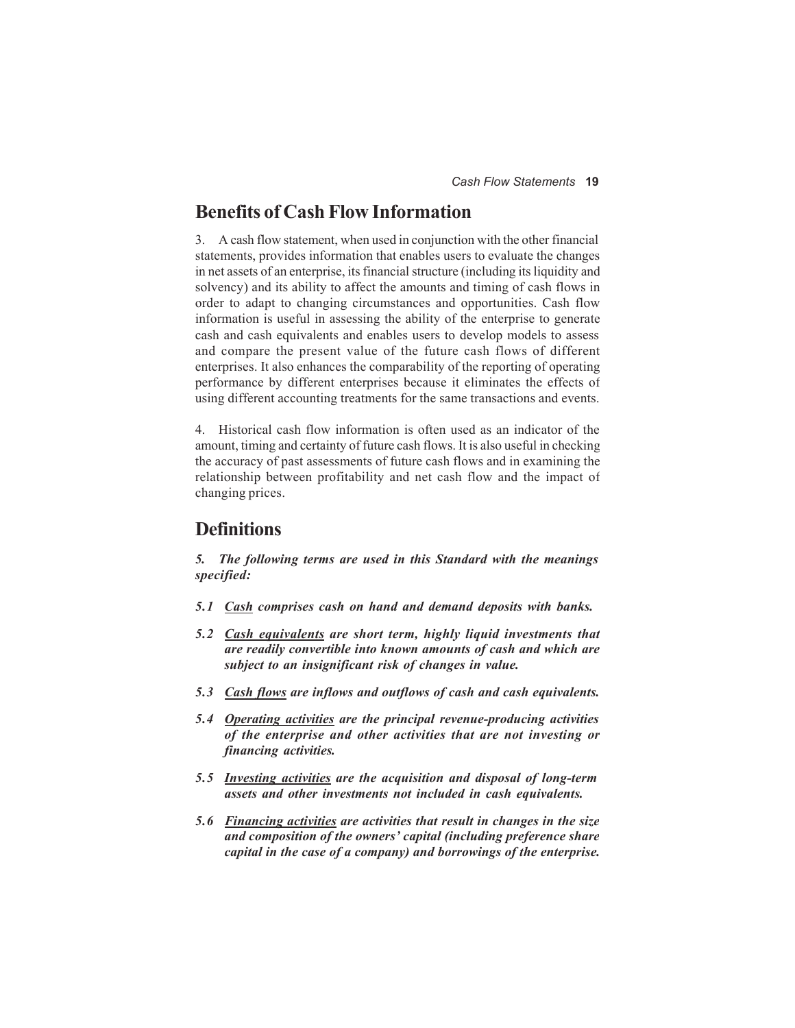## **Benefits of Cash Flow Information**

3. A cash flow statement, when used in conjunction with the other financial statements, provides information that enables users to evaluate the changes in net assets of an enterprise, its financial structure (including its liquidity and solvency) and its ability to affect the amounts and timing of cash flows in order to adapt to changing circumstances and opportunities. Cash flow information is useful in assessing the ability of the enterprise to generate cash and cash equivalents and enables users to develop models to assess and compare the present value of the future cash flows of different enterprises. It also enhances the comparability of the reporting of operating performance by different enterprises because it eliminates the effects of using different accounting treatments for the same transactions and events.

4. Historical cash flow information is often used as an indicator of the amount, timing and certainty of future cash flows. It is also useful in checking the accuracy of past assessments of future cash flows and in examining the relationship between profitability and net cash flow and the impact of changing prices.

### **Definitions**

*5. The following terms are used in this Standard with the meanings specified:*

- *5.1 Cash comprises cash on hand and demand deposits with banks.*
- *5.2 Cash equivalents are short term, highly liquid investments that are readily convertible into known amounts of cash and which are subject to an insignificant risk of changes in value.*
- *5.3 Cash flows are inflows and outflows of cash and cash equivalents.*
- *5.4 Operating activities are the principal revenue-producing activities of the enterprise and other activities that are not investing or financing activities.*
- *5.5 Investing activities are the acquisition and disposal of long-term assets and other investments not included in cash equivalents.*
- *5.6 Financing activities are activities that result in changes in the size and composition of the owners' capital (including preference share capital in the case of a company) and borrowings of the enterprise.*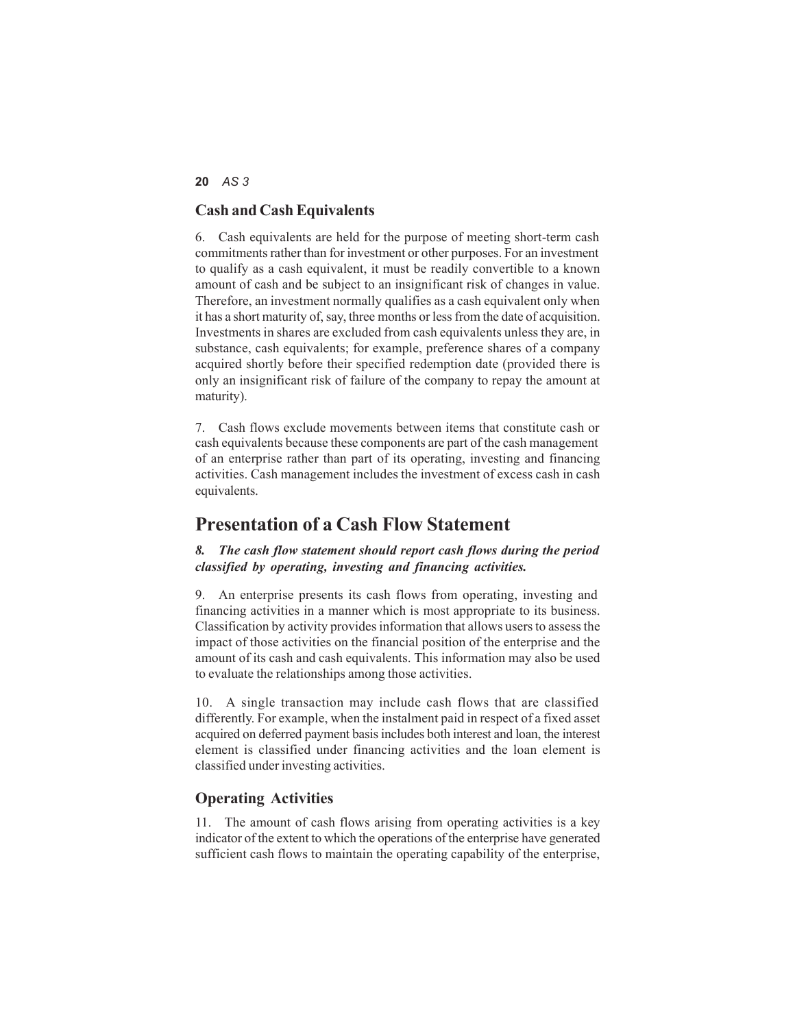#### **Cash and Cash Equivalents**

6. Cash equivalents are held for the purpose of meeting short-term cash commitments rather than for investment or other purposes. For an investment to qualify as a cash equivalent, it must be readily convertible to a known amount of cash and be subject to an insignificant risk of changes in value. Therefore, an investment normally qualifies as a cash equivalent only when it has a short maturity of, say, three months or less from the date of acquisition. Investments in shares are excluded from cash equivalents unless they are, in substance, cash equivalents; for example, preference shares of a company acquired shortly before their specified redemption date (provided there is only an insignificant risk of failure of the company to repay the amount at maturity).

7. Cash flows exclude movements between items that constitute cash or cash equivalents because these components are part of the cash management of an enterprise rather than part of its operating, investing and financing activities. Cash management includes the investment of excess cash in cash equivalents.

## **Presentation of a Cash Flow Statement**

*8. The cash flow statement should report cash flows during the period classified by operating, investing and financing activities.*

9. An enterprise presents its cash flows from operating, investing and financing activities in a manner which is most appropriate to its business. Classification by activity provides information that allows users to assess the impact of those activities on the financial position of the enterprise and the amount of its cash and cash equivalents. This information may also be used to evaluate the relationships among those activities.

10. A single transaction may include cash flows that are classified differently. For example, when the instalment paid in respect of a fixed asset acquired on deferred payment basis includes both interest and loan, the interest element is classified under financing activities and the loan element is classified under investing activities.

#### **Operating Activities**

11. The amount of cash flows arising from operating activities is a key indicator of the extent to which the operations of the enterprise have generated sufficient cash flows to maintain the operating capability of the enterprise,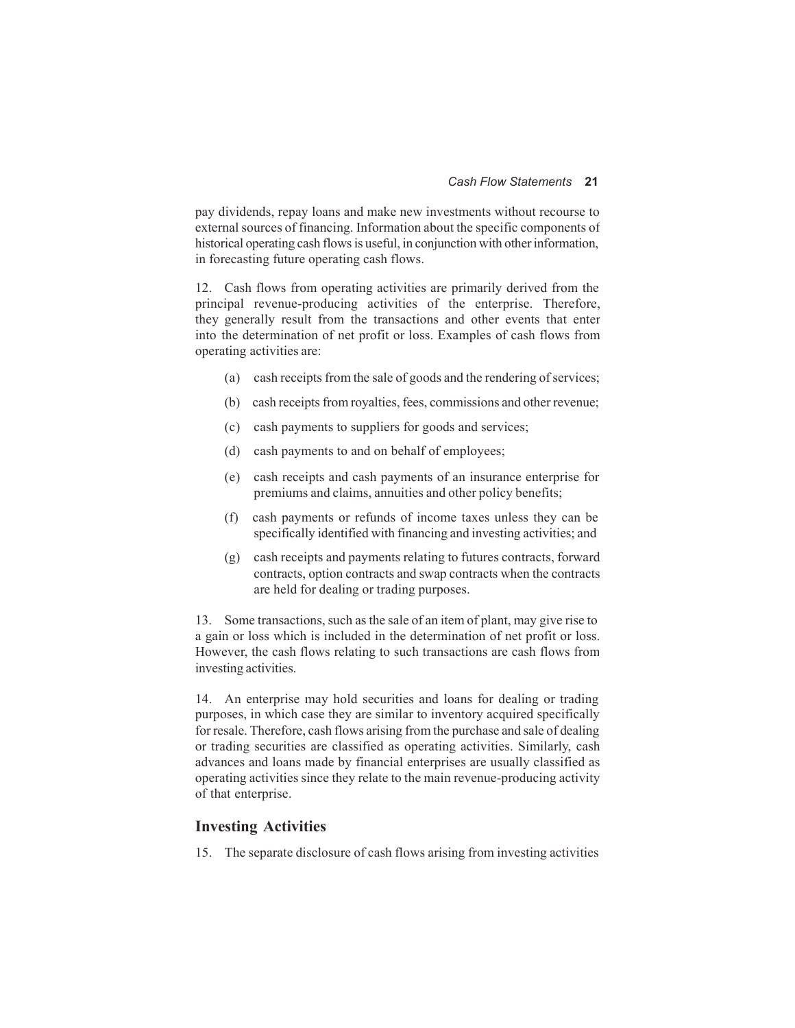pay dividends, repay loans and make new investments without recourse to external sources of financing. Information about the specific components of historical operating cash flows is useful, in conjunction with other information, in forecasting future operating cash flows.

12. Cash flows from operating activities are primarily derived from the principal revenue-producing activities of the enterprise. Therefore, they generally result from the transactions and other events that enter into the determination of net profit or loss. Examples of cash flows from operating activities are:

- (a) cash receipts from the sale of goods and the rendering of services;
- (b) cash receipts from royalties, fees, commissions and other revenue;
- (c) cash payments to suppliers for goods and services;
- (d) cash payments to and on behalf of employees;
- (e) cash receipts and cash payments of an insurance enterprise for premiums and claims, annuities and other policy benefits;
- (f) cash payments or refunds of income taxes unless they can be specifically identified with financing and investing activities; and
- (g) cash receipts and payments relating to futures contracts, forward contracts, option contracts and swap contracts when the contracts are held for dealing or trading purposes.

13. Some transactions, such as the sale of an item of plant, may give rise to a gain or loss which is included in the determination of net profit or loss. However, the cash flows relating to such transactions are cash flows from investing activities.

14. An enterprise may hold securities and loans for dealing or trading purposes, in which case they are similar to inventory acquired specifically for resale. Therefore, cash flows arising from the purchase and sale of dealing or trading securities are classified as operating activities. Similarly, cash advances and loans made by financial enterprises are usually classified as operating activities since they relate to the main revenue-producing activity of that enterprise.

#### **Investing Activities**

15. The separate disclosure of cash flows arising from investing activities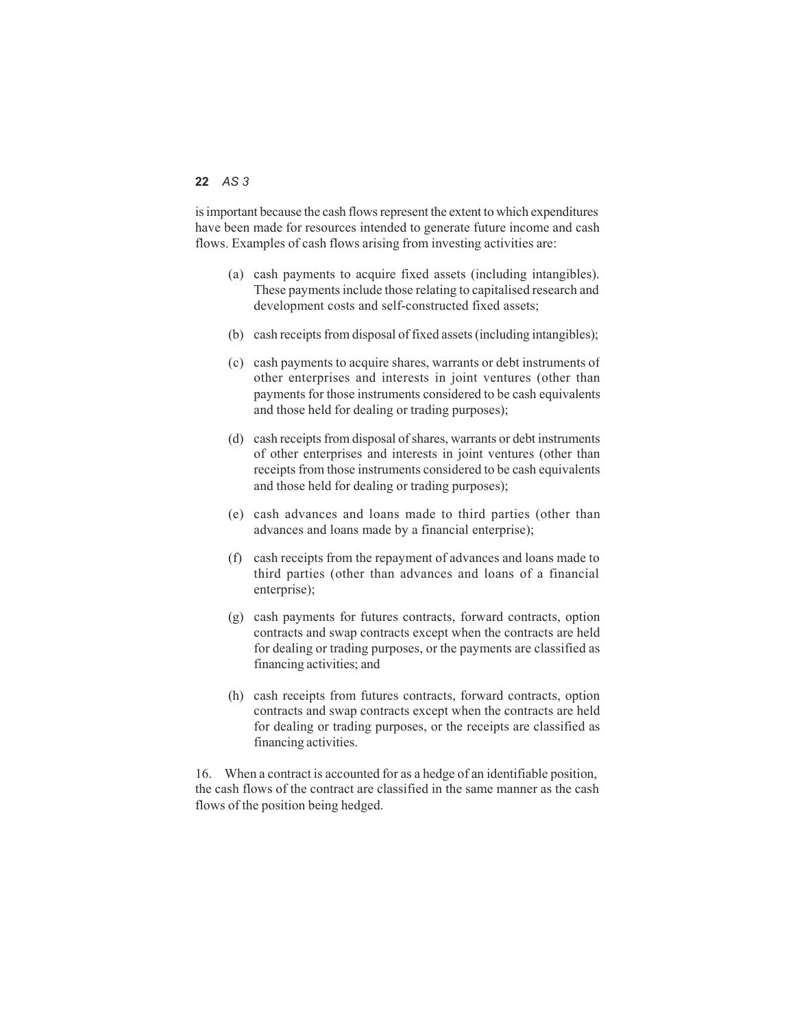is important because the cash flows represent the extent to which expenditures have been made for resources intended to generate future income and cash flows. Examples of cash flows arising from investing activities are:

- (a) cash payments to acquire fixed assets (including intangibles). These payments include those relating to capitalised research and development costs and self-constructed fixed assets;
- (b) cash receipts from disposal of fixed assets(including intangibles);
- (c) cash payments to acquire shares, warrants or debt instruments of other enterprises and interests in joint ventures (other than payments for those instruments considered to be cash equivalents and those held for dealing or trading purposes);
- (d) cash receipts from disposal of shares, warrants or debt instruments of other enterprises and interests in joint ventures (other than receipts from those instruments considered to be cash equivalents and those held for dealing or trading purposes);
- (e) cash advances and loans made to third parties (other than advances and loans made by a financial enterprise);
- (f) cash receipts from the repayment of advances and loans made to third parties (other than advances and loans of a financial enterprise);
- (g) cash payments for futures contracts, forward contracts, option contracts and swap contracts except when the contracts are held for dealing or trading purposes, or the payments are classified as financing activities; and
- (h) cash receipts from futures contracts, forward contracts, option contracts and swap contracts except when the contracts are held for dealing or trading purposes, or the receipts are classified as financing activities.

16. When a contract is accounted for as a hedge of an identifiable position, the cash flows of the contract are classified in the same manner as the cash flows of the position being hedged.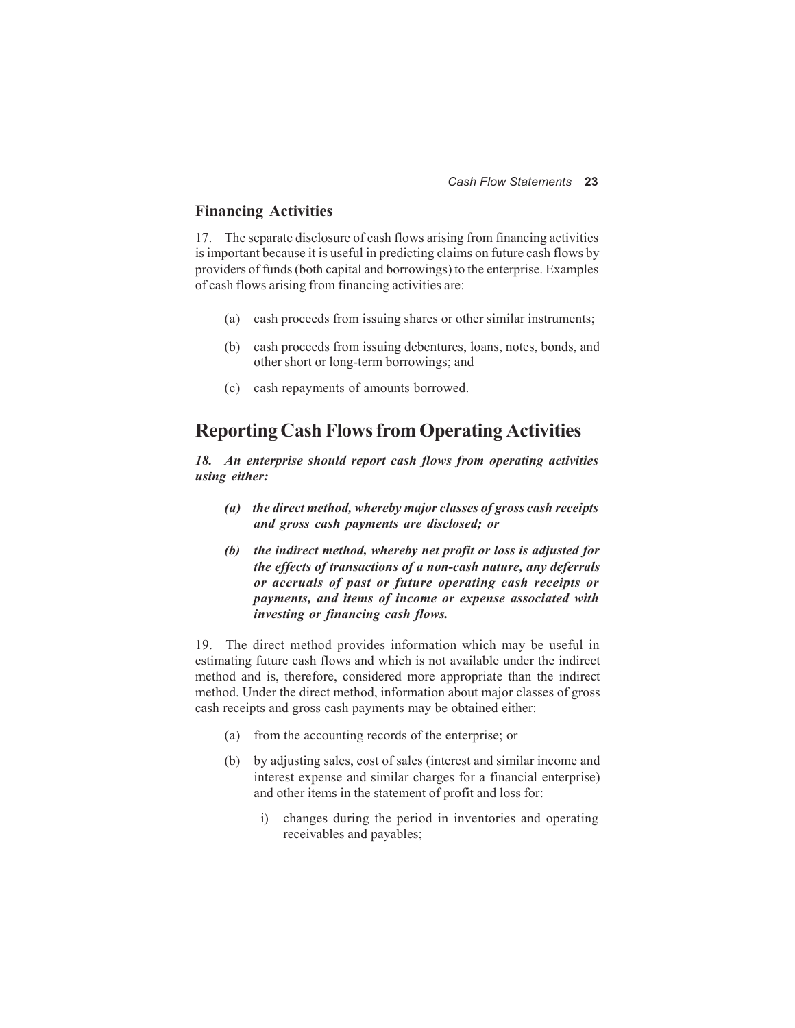#### **Financing Activities**

17. The separate disclosure of cash flows arising from financing activities is important because it is useful in predicting claims on future cash flows by providers of funds (both capital and borrowings) to the enterprise. Examples of cash flows arising from financing activities are:

- (a) cash proceeds from issuing shares or other similar instruments;
- (b) cash proceeds from issuing debentures, loans, notes, bonds, and other short or long-term borrowings; and
- (c) cash repayments of amounts borrowed.

## **Reporting Cash Flows from Operating Activities**

*18. An enterprise should report cash flows from operating activities using either:*

- *(a) the direct method, whereby major classes of gross cash receipts and gross cash payments are disclosed; or*
- *(b) the indirect method, whereby net profit or loss is adjusted for the effects of transactions of a non-cash nature, any deferrals or accruals of past or future operating cash receipts or payments, and items of income or expense associated with investing or financing cash flows.*

19. The direct method provides information which may be useful in estimating future cash flows and which is not available under the indirect method and is, therefore, considered more appropriate than the indirect method. Under the direct method, information about major classes of gross cash receipts and gross cash payments may be obtained either:

- (a) from the accounting records of the enterprise; or
- (b) by adjusting sales, cost of sales (interest and similar income and interest expense and similar charges for a financial enterprise) and other items in the statement of profit and loss for:
	- i) changes during the period in inventories and operating receivables and payables;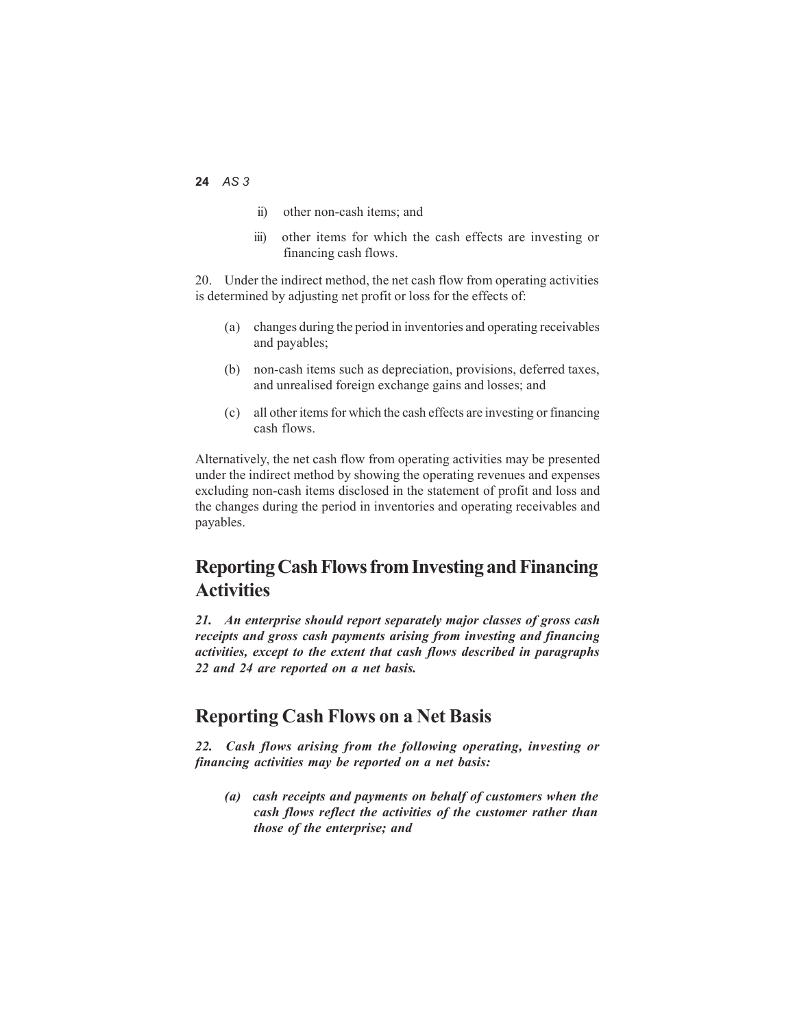- ii) other non-cash items; and
- iii) other items for which the cash effects are investing or financing cash flows.

20. Under the indirect method, the net cash flow from operating activities is determined by adjusting net profit or loss for the effects of:

- (a) changes during the period in inventories and operating receivables and payables;
- (b) non-cash items such as depreciation, provisions, deferred taxes, and unrealised foreign exchange gains and losses; and
- (c) all other items for which the cash effects are investing or financing cash flows.

Alternatively, the net cash flow from operating activities may be presented under the indirect method by showing the operating revenues and expenses excluding non-cash items disclosed in the statement of profit and loss and the changes during the period in inventories and operating receivables and payables.

## **Reporting Cash Flows from Investing and Financing Activities**

*21. An enterprise should report separately major classes of gross cash receipts and gross cash payments arising from investing and financing activities, except to the extent that cash flows described in paragraphs 22 and 24 are reported on a net basis.*

## **Reporting Cash Flows on a Net Basis**

*22. Cash flows arising from the following operating, investing or financing activities may be reported on a net basis:*

*(a) cash receipts and payments on behalf of customers when the cash flows reflect the activities of the customer rather than those of the enterprise; and*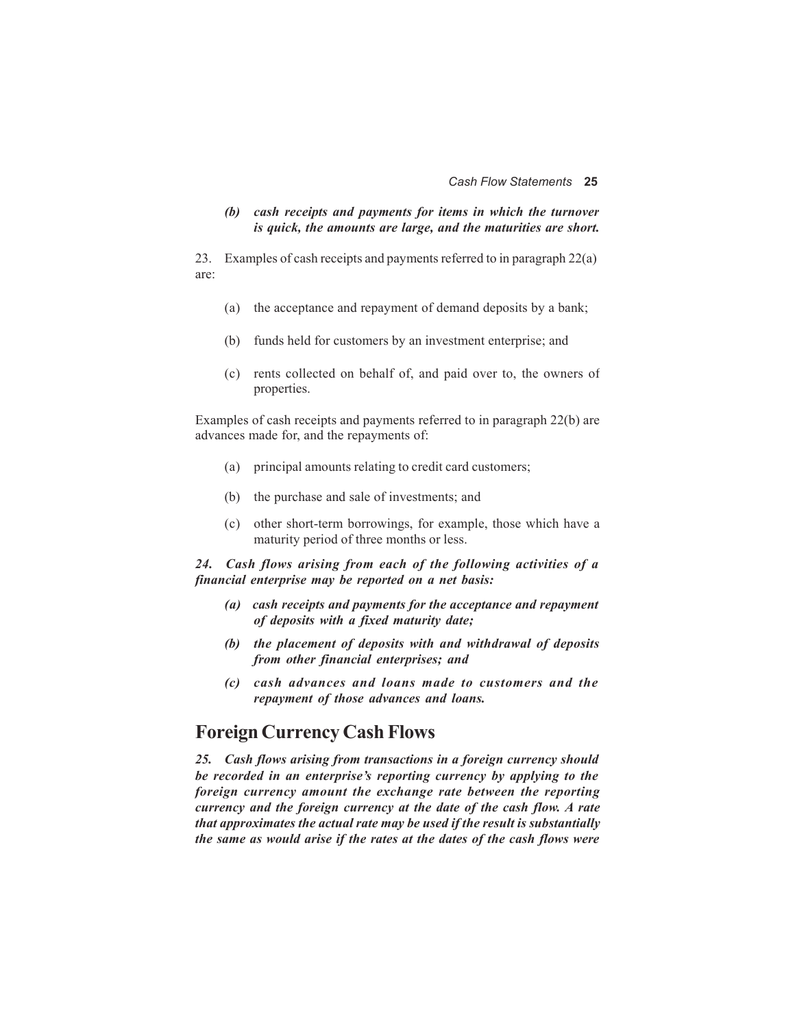*(b) cash receipts and payments for items in which the turnover is quick, the amounts are large, and the maturities are short.*

23. Examples of cash receipts and payments referred to in paragraph 22(a) are:

- (a) the acceptance and repayment of demand deposits by a bank;
- (b) funds held for customers by an investment enterprise; and
- (c) rents collected on behalf of, and paid over to, the owners of properties.

Examples of cash receipts and payments referred to in paragraph 22(b) are advances made for, and the repayments of:

- (a) principal amounts relating to credit card customers;
- (b) the purchase and sale of investments; and
- (c) other short-term borrowings, for example, those which have a maturity period of three months or less.

*24. Cash flows arising from each of the following activities of a financial enterprise may be reported on a net basis:*

- *(a) cash receipts and payments for the acceptance and repayment of deposits with a fixed maturity date;*
- *(b) the placement of deposits with and withdrawal of deposits from other financial enterprises; and*
- *(c) cash advances and loans made to customers and the repayment of those advances and loans.*

## **Foreign Currency Cash Flows**

*25. Cash flows arising from transactions in a foreign currency should be recorded in an enterprise's reporting currency by applying to the foreign currency amount the exchange rate between the reporting currency and the foreign currency at the date of the cash flow. A rate that approximates the actual rate may be used if the result is substantially the same as would arise if the rates at the dates of the cash flows were*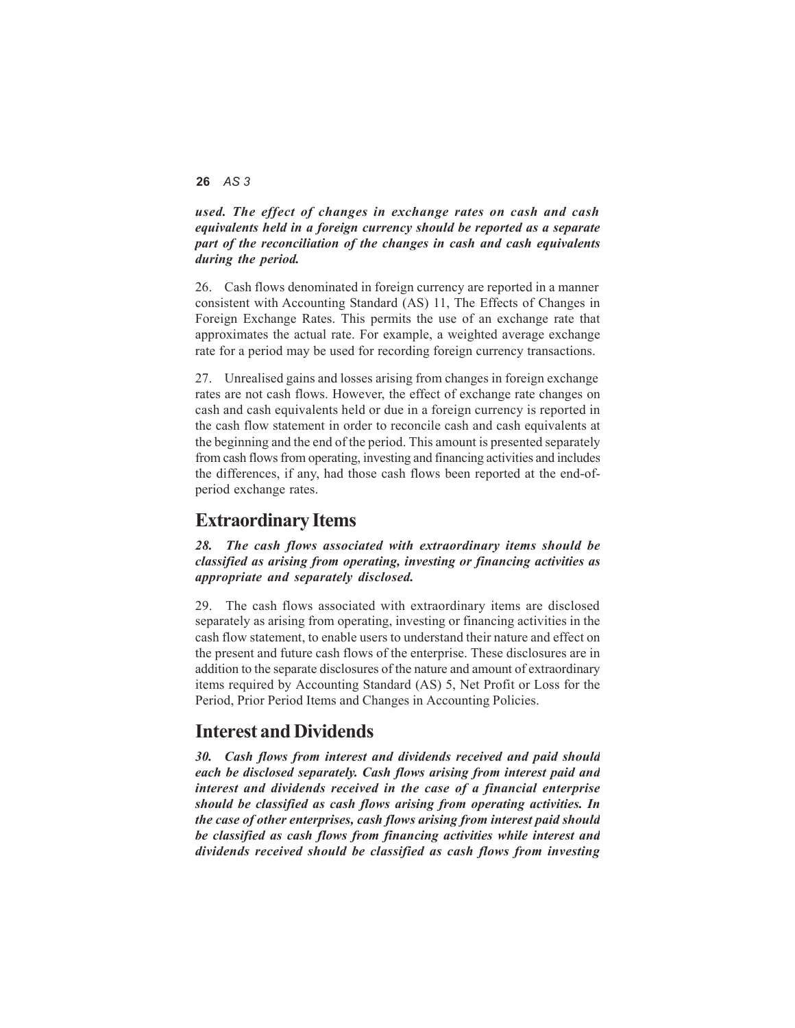*used. The effect of changes in exchange rates on cash and cash equivalents held in a foreign currency should be reported as a separate part of the reconciliation of the changes in cash and cash equivalents during the period.*

26. Cash flows denominated in foreign currency are reported in a manner consistent with Accounting Standard (AS) 11, The Effects of Changes in Foreign Exchange Rates. This permits the use of an exchange rate that approximates the actual rate. For example, a weighted average exchange rate for a period may be used for recording foreign currency transactions.

27. Unrealised gains and losses arising from changes in foreign exchange rates are not cash flows. However, the effect of exchange rate changes on cash and cash equivalents held or due in a foreign currency is reported in the cash flow statement in order to reconcile cash and cash equivalents at the beginning and the end of the period. This amount is presented separately from cash flows from operating, investing and financing activities and includes the differences, if any, had those cash flows been reported at the end-ofperiod exchange rates.

### **Extraordinary Items**

*28. The cash flows associated with extraordinary items should be classified as arising from operating, investing or financing activities as appropriate and separately disclosed.*

29. The cash flows associated with extraordinary items are disclosed separately as arising from operating, investing or financing activities in the cash flow statement, to enable users to understand their nature and effect on the present and future cash flows of the enterprise. These disclosures are in addition to the separate disclosures of the nature and amount of extraordinary items required by Accounting Standard (AS) 5, Net Profit or Loss for the Period, Prior Period Items and Changes in Accounting Policies.

### **Interest and Dividends**

*30. Cash flows from interest and dividends received and paid should each be disclosed separately. Cash flows arising from interest paid and interest and dividends received in the case of a financial enterprise should be classified as cash flows arising from operating activities. In the case of other enterprises, cash flows arising from interest paid should be classified as cash flows from financing activities while interest and dividends received should be classified as cash flows from investing*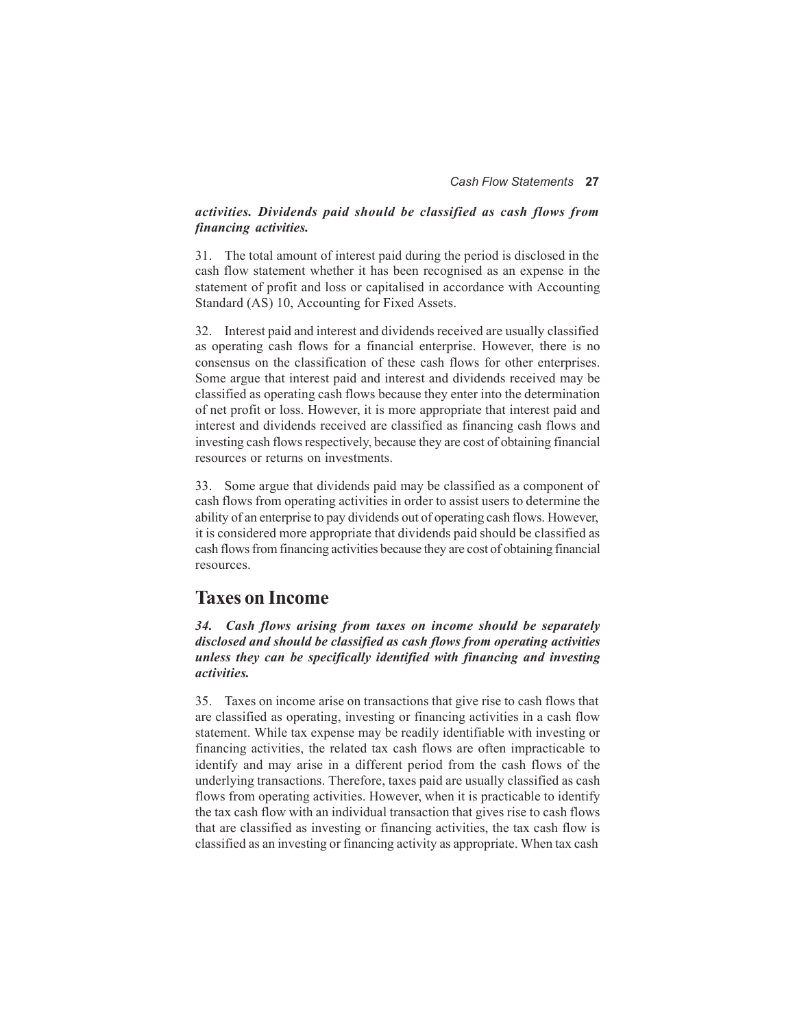#### *activities. Dividends paid should be classified as cash flows from financing activities.*

31. The total amount of interest paid during the period is disclosed in the cash flow statement whether it has been recognised as an expense in the statement of profit and loss or capitalised in accordance with Accounting Standard (AS) 10, Accounting for Fixed Assets.

32. Interest paid and interest and dividends received are usually classified as operating cash flows for a financial enterprise. However, there is no consensus on the classification of these cash flows for other enterprises. Some argue that interest paid and interest and dividends received may be classified as operating cash flows because they enter into the determination of net profit or loss. However, it is more appropriate that interest paid and interest and dividends received are classified as financing cash flows and investing cash flows respectively, because they are cost of obtaining financial resources or returns on investments.

33. Some argue that dividends paid may be classified as a component of cash flows from operating activities in order to assist users to determine the ability of an enterprise to pay dividends out of operating cash flows. However, it is considered more appropriate that dividends paid should be classified as cash flows from financing activities because they are cost of obtaining financial resources.

### **Taxes on Income**

*34. Cash flows arising from taxes on income should be separately disclosed and should be classified as cash flows from operating activities unless they can be specifically identified with financing and investing activities.*

35. Taxes on income arise on transactions that give rise to cash flows that are classified as operating, investing or financing activities in a cash flow statement. While tax expense may be readily identifiable with investing or financing activities, the related tax cash flows are often impracticable to identify and may arise in a different period from the cash flows of the underlying transactions. Therefore, taxes paid are usually classified as cash flows from operating activities. However, when it is practicable to identify the tax cash flow with an individual transaction that gives rise to cash flows that are classified as investing or financing activities, the tax cash flow is classified as an investing or financing activity as appropriate. When tax cash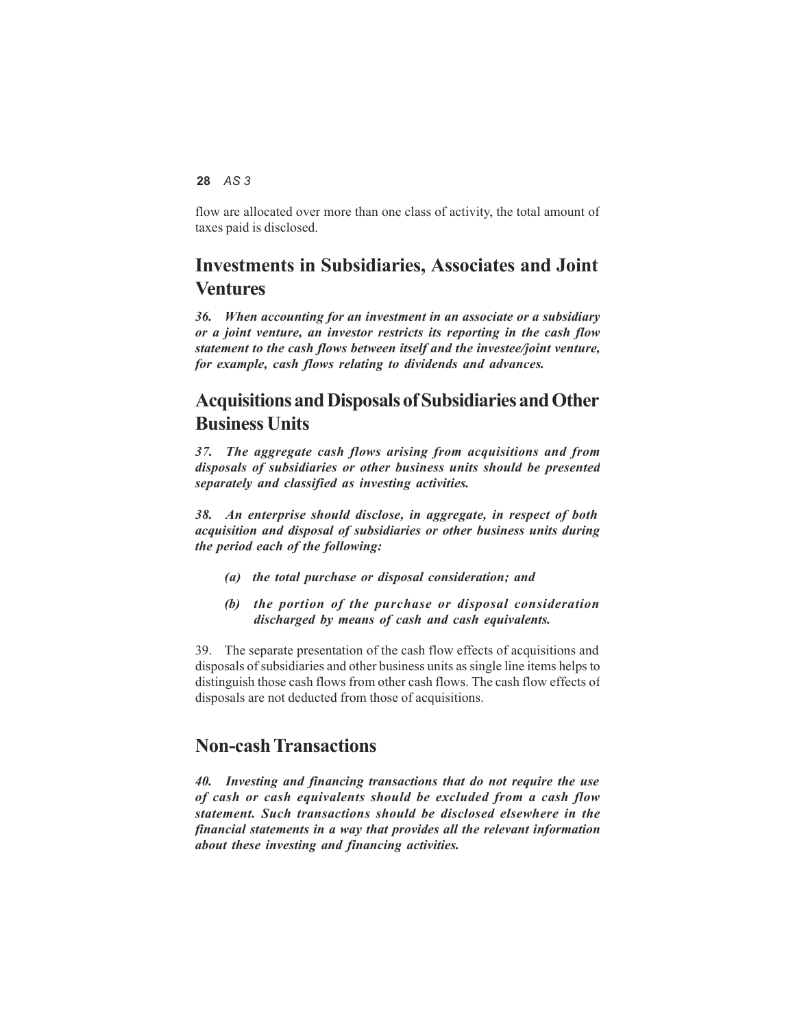flow are allocated over more than one class of activity, the total amount of taxes paid is disclosed.

## **Investments in Subsidiaries, Associates and Joint Ventures**

*36. When accounting for an investment in an associate or a subsidiary or a joint venture, an investor restricts its reporting in the cash flow statement to the cash flows between itself and the investee/joint venture, for example, cash flows relating to dividends and advances.*

## **Acquisitions andDisposalsofSubsidiariesand Other Business Units**

*37. The aggregate cash flows arising from acquisitions and from disposals of subsidiaries or other business units should be presented separately and classified as investing activities.*

*38. An enterprise should disclose, in aggregate, in respect of both acquisition and disposal of subsidiaries or other business units during the period each of the following:*

- *(a) the total purchase or disposal consideration; and*
- *(b) the portion of the purchase or disposal consideration discharged by means of cash and cash equivalents.*

39. The separate presentation of the cash flow effects of acquisitions and disposals of subsidiaries and other business units as single line items helps to distinguish those cash flows from other cash flows. The cash flow effects of disposals are not deducted from those of acquisitions.

## **Non-cash Transactions**

*40. Investing and financing transactions that do not require the use of cash or cash equivalents should be excluded from a cash flow statement. Such transactions should be disclosed elsewhere in the financial statements in a way that provides all the relevant information about these investing and financing activities.*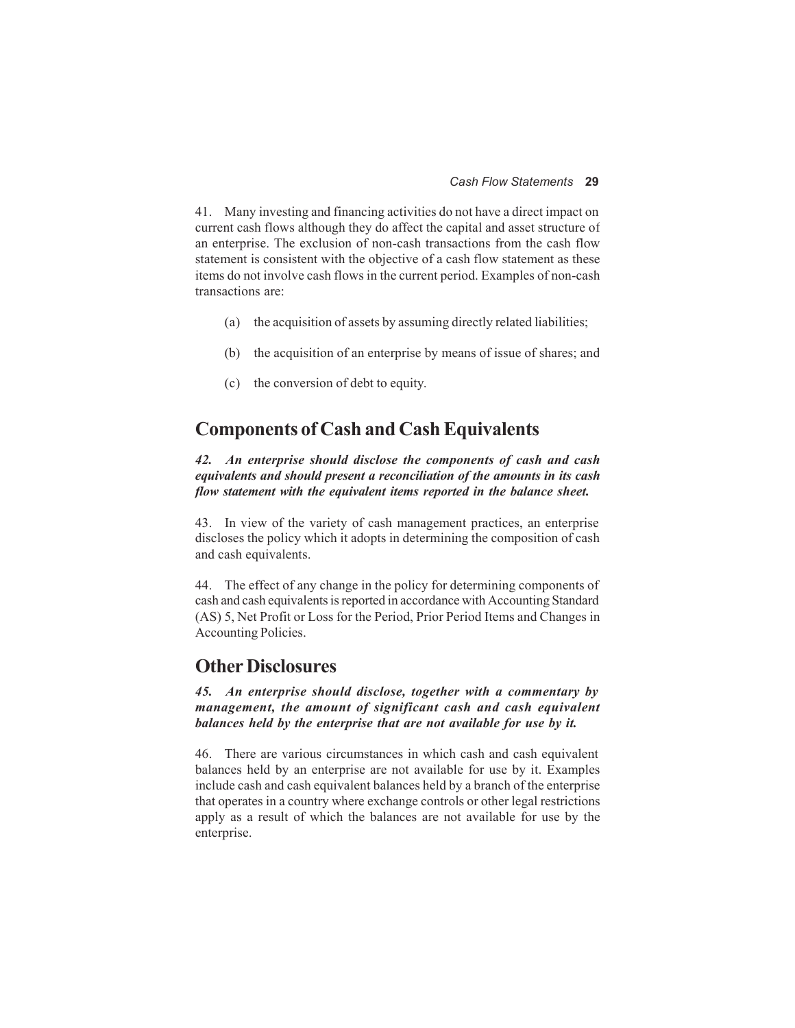41. Many investing and financing activities do not have a direct impact on current cash flows although they do affect the capital and asset structure of an enterprise. The exclusion of non-cash transactions from the cash flow statement is consistent with the objective of a cash flow statement as these items do not involve cash flows in the current period. Examples of non-cash transactions are:

- (a) the acquisition of assets by assuming directly related liabilities;
- (b) the acquisition of an enterprise by means of issue of shares; and
- (c) the conversion of debt to equity.

## **Components of Cash and Cash Equivalents**

*42. An enterprise should disclose the components of cash and cash equivalents and should present a reconciliation of the amounts in its cash flow statement with the equivalent items reported in the balance sheet.*

43. In view of the variety of cash management practices, an enterprise discloses the policy which it adopts in determining the composition of cash and cash equivalents.

44. The effect of any change in the policy for determining components of cash and cash equivalents is reported in accordance with Accounting Standard (AS) 5, Net Profit or Loss for the Period, Prior Period Items and Changes in Accounting Policies.

### **Other Disclosures**

*45. An enterprise should disclose, together with a commentary by management, the amount of significant cash and cash equivalent balances held by the enterprise that are not available for use by it.*

46. There are various circumstances in which cash and cash equivalent balances held by an enterprise are not available for use by it. Examples include cash and cash equivalent balances held by a branch of the enterprise that operates in a country where exchange controls or other legal restrictions apply as a result of which the balances are not available for use by the enterprise.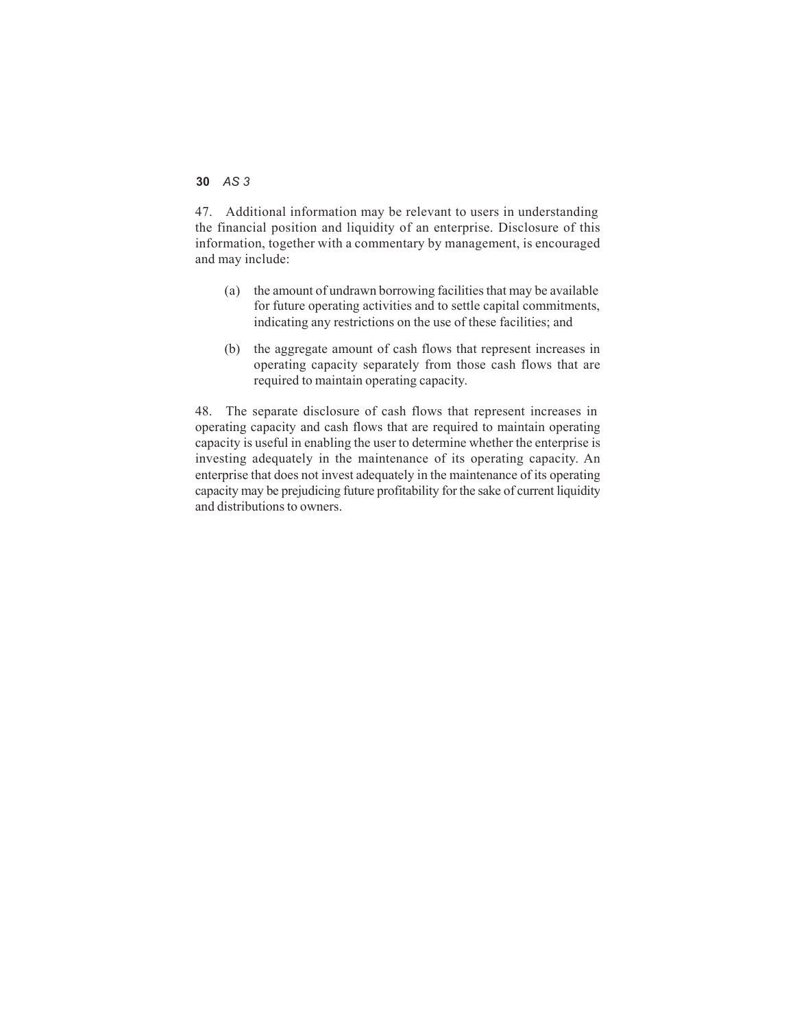47. Additional information may be relevant to users in understanding the financial position and liquidity of an enterprise. Disclosure of this information, together with a commentary by management, is encouraged and may include:

- (a) the amount of undrawn borrowing facilities that may be available for future operating activities and to settle capital commitments, indicating any restrictions on the use of these facilities; and
- (b) the aggregate amount of cash flows that represent increases in operating capacity separately from those cash flows that are required to maintain operating capacity.

48. The separate disclosure of cash flows that represent increases in operating capacity and cash flows that are required to maintain operating capacity is useful in enabling the user to determine whether the enterprise is investing adequately in the maintenance of its operating capacity. An enterprise that does not invest adequately in the maintenance of its operating capacity may be prejudicing future profitability for the sake of current liquidity and distributions to owners.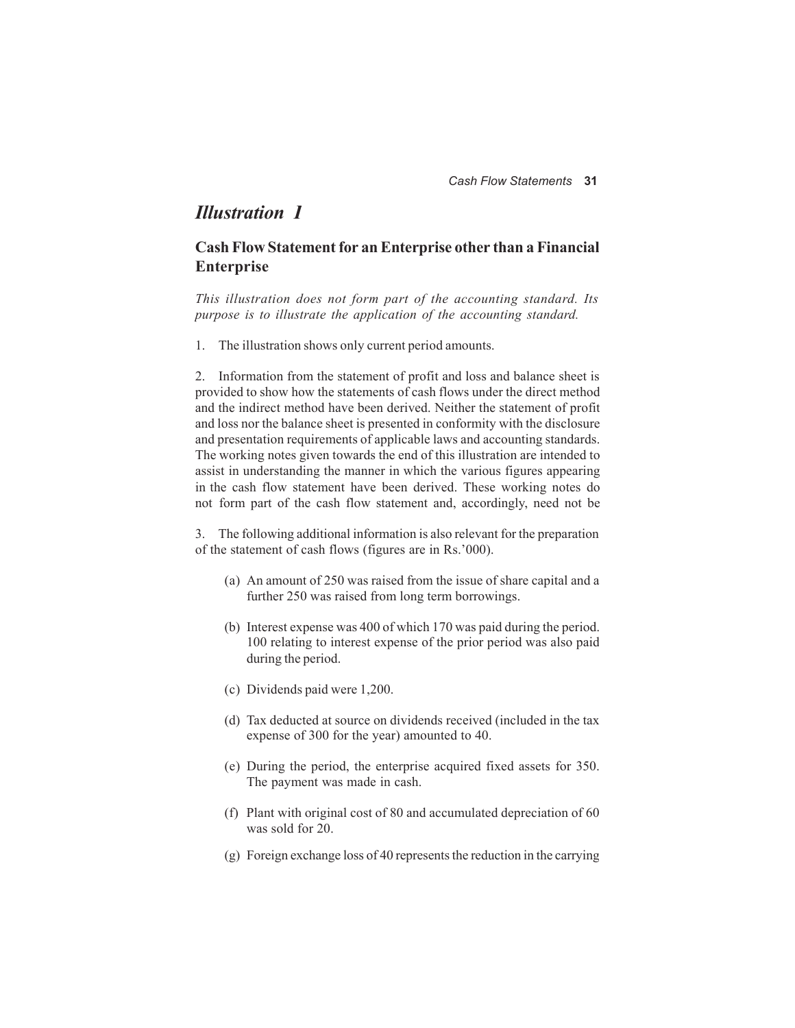### *Illustration I*

#### **Cash Flow Statement for an Enterprise other than a Financial Enterprise**

*This illustration does not form part of the accounting standard. Its purpose is to illustrate the application of the accounting standard.*

1. The illustration shows only current period amounts.

2. Information from the statement of profit and loss and balance sheet is provided to show how the statements of cash flows under the direct method and the indirect method have been derived. Neither the statement of profit and loss nor the balance sheet is presented in conformity with the disclosure and presentation requirements of applicable laws and accounting standards. The working notes given towards the end of this illustration are intended to assist in understanding the manner in which the various figures appearing in the cash flow statement have been derived. These working notes do not form part of the cash flow statement and, accordingly, need not be

3. The following additional information is also relevant for the preparation of the statement of cash flows (figures are in Rs.'000).

- (a) An amount of 250 was raised from the issue of share capital and a further 250 was raised from long term borrowings.
- (b) Interest expense was 400 of which 170 was paid during the period. 100 relating to interest expense of the prior period was also paid during the period.
- (c) Dividends paid were 1,200.
- (d) Tax deducted at source on dividends received (included in the tax expense of 300 for the year) amounted to 40.
- (e) During the period, the enterprise acquired fixed assets for 350. The payment was made in cash.
- (f) Plant with original cost of 80 and accumulated depreciation of 60 was sold for 20.
- (g) Foreign exchange loss of 40 represents the reduction in the carrying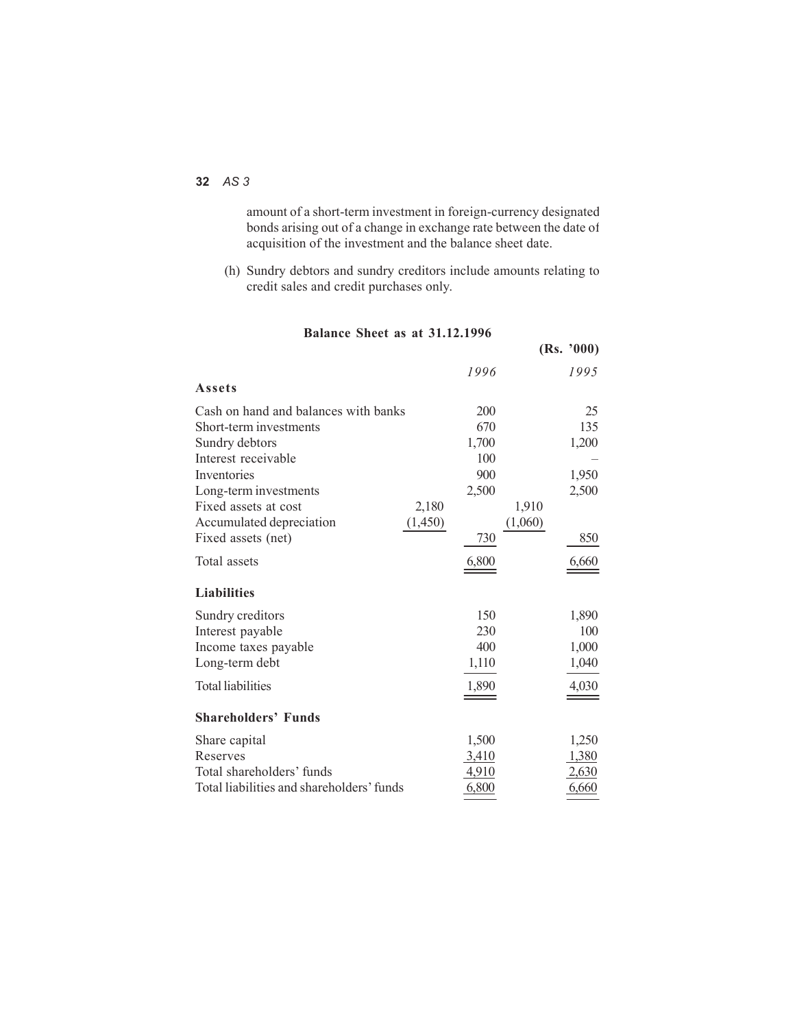amount of a short-term investment in foreign-currency designated bonds arising out of a change in exchange rate between the date of acquisition of the investment and the balance sheet date.

**(Rs. '000)**

(h) Sundry debtors and sundry creditors include amounts relating to credit sales and credit purchases only.

| <b>Assets</b>                             | 1996  | 1995         |
|-------------------------------------------|-------|--------------|
| Cash on hand and balances with banks      | 200   | 25           |
| Short-term investments                    | 670   | 135          |
| Sundry debtors                            | 1,700 | 1,200        |
| Interest receivable                       | 100   |              |
| Inventories                               | 900   | 1,950        |
| Long-term investments                     | 2,500 | 2,500        |
| Fixed assets at cost<br>2,180             |       | 1,910        |
| Accumulated depreciation<br>(1,450)       |       | (1,060)      |
| Fixed assets (net)                        | 730   | 850          |
| Total assets                              | 6,800 | 6,660        |
| <b>Liabilities</b>                        |       |              |
| Sundry creditors                          | 150   | 1,890        |
| Interest payable                          | 230   | 100          |
| Income taxes payable                      | 400   | 1,000        |
| Long-term debt                            | 1,110 | 1,040        |
| <b>Total liabilities</b>                  | 1,890 | 4,030        |
| <b>Shareholders' Funds</b>                |       |              |
| Share capital                             | 1,500 | 1,250        |
| Reserves                                  | 3,410 | 1,380        |
| Total shareholders' funds                 | 4,910 | <u>2,630</u> |
| Total liabilities and shareholders' funds | 6,800 | 6,660        |

#### **Balance Sheet as at 31.12.1996**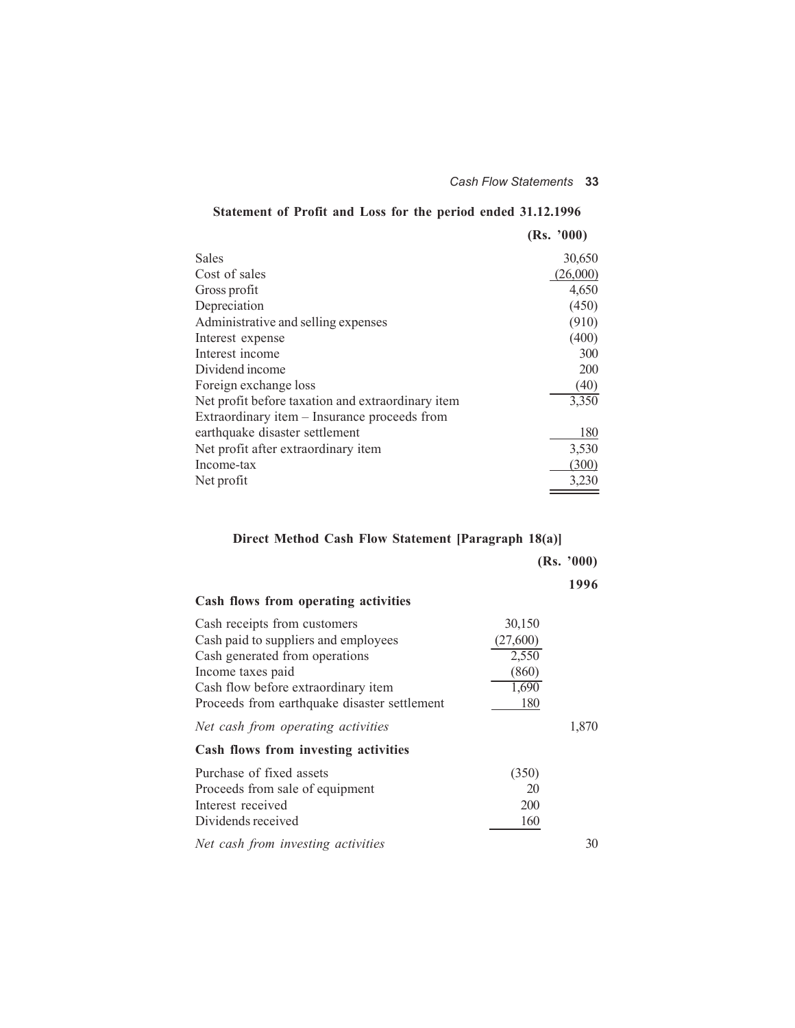|                                                   | (Rs. '000) |
|---------------------------------------------------|------------|
| <b>Sales</b>                                      | 30,650     |
| Cost of sales                                     | (26,000)   |
| Gross profit                                      | 4,650      |
| Depreciation                                      | (450)      |
| Administrative and selling expenses               | (910)      |
| Interest expense                                  | (400)      |
| Interest income                                   | 300        |
| Dividend income                                   | 200        |
| Foreign exchange loss                             | (40)       |
| Net profit before taxation and extraordinary item | 3,350      |
| Extraordinary item – Insurance proceeds from      |            |
| earthquake disaster settlement                    | 180        |
| Net profit after extraordinary item               | 3,530      |
| Income-tax                                        | (300)      |
| Net profit                                        | 3,230      |
|                                                   |            |

#### **Statement of Profit and Loss for the period ended 31.12.1996**

#### **Direct Method Cash Flow Statement [Paragraph 18(a)]**

|                                              |          | (Rs. '000) |
|----------------------------------------------|----------|------------|
|                                              |          | 1996       |
| Cash flows from operating activities         |          |            |
| Cash receipts from customers                 | 30,150   |            |
| Cash paid to suppliers and employees         | (27,600) |            |
| Cash generated from operations               | 2,550    |            |
| Income taxes paid                            | (860)    |            |
| Cash flow before extraordinary item          | 1,690    |            |
| Proceeds from earthquake disaster settlement | 180      |            |
| Net cash from operating activities           |          | 1,870      |
| Cash flows from investing activities         |          |            |
| Purchase of fixed assets                     | (350)    |            |
| Proceeds from sale of equipment              | 20       |            |
| Interest received                            | 200      |            |
| Dividends received                           | 160      |            |
| Net cash from investing activities           |          | 30         |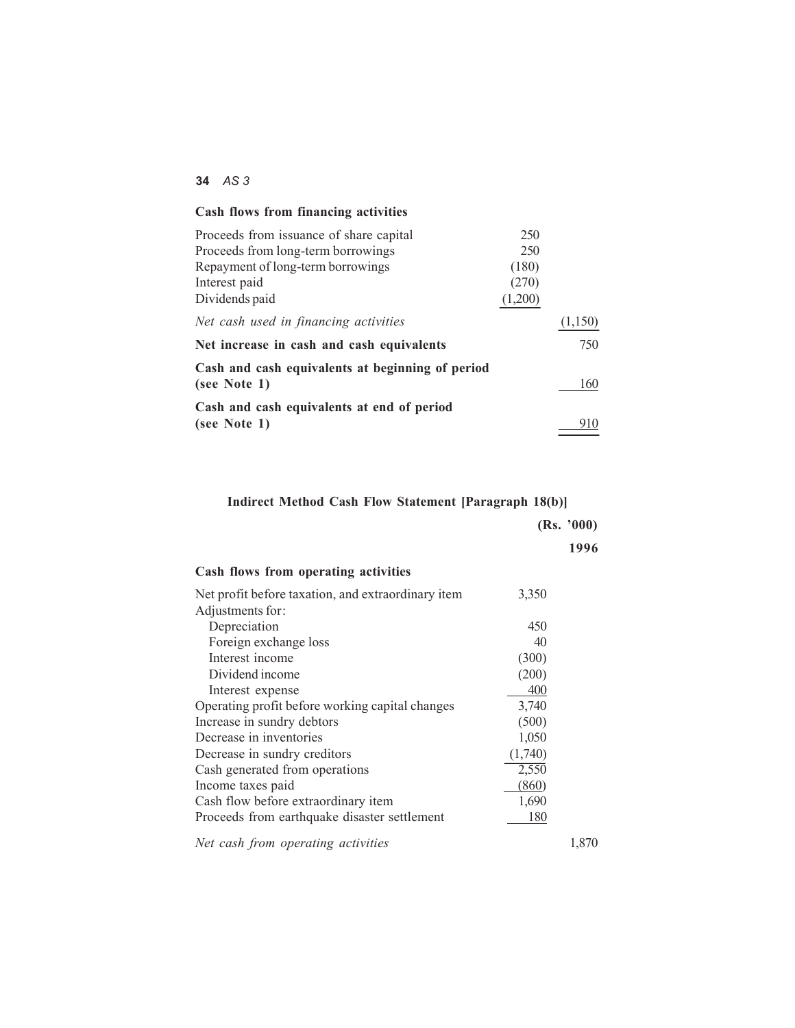### **Cash flows from financing activities**

| Proceeds from issuance of share capital                          | 250     |         |
|------------------------------------------------------------------|---------|---------|
| Proceeds from long-term borrowings                               | 250     |         |
| Repayment of long-term borrowings                                | (180)   |         |
| Interest paid                                                    | (270)   |         |
| Dividends paid                                                   | (1,200) |         |
| Net cash used in financing activities                            |         | (1,150) |
| Net increase in cash and cash equivalents                        |         | 750     |
| Cash and cash equivalents at beginning of period<br>(see Note 1) |         | 160     |
| Cash and cash equivalents at end of period                       |         |         |
| (see Note 1)                                                     |         | 910     |

**Indirect Method Cash Flow Statement [Paragraph 18(b)]**

|                                                    |         | (Rs. '000) |
|----------------------------------------------------|---------|------------|
|                                                    |         | 1996       |
| Cash flows from operating activities               |         |            |
| Net profit before taxation, and extraordinary item | 3,350   |            |
| Adjustments for:                                   |         |            |
| Depreciation                                       | 450     |            |
| Foreign exchange loss                              | 40      |            |
| Interest income                                    | (300)   |            |
| Dividend income                                    | (200)   |            |
| Interest expense                                   | 400     |            |
| Operating profit before working capital changes    | 3,740   |            |
| Increase in sundry debtors                         | (500)   |            |
| Decrease in inventories                            | 1,050   |            |
| Decrease in sundry creditors                       | (1,740) |            |
| Cash generated from operations                     | 2,550   |            |
| Income taxes paid                                  | (860)   |            |
| Cash flow before extraordinary item                | 1,690   |            |
| Proceeds from earthquake disaster settlement       | 180     |            |
| Net cash from operating activities                 |         | 1,870      |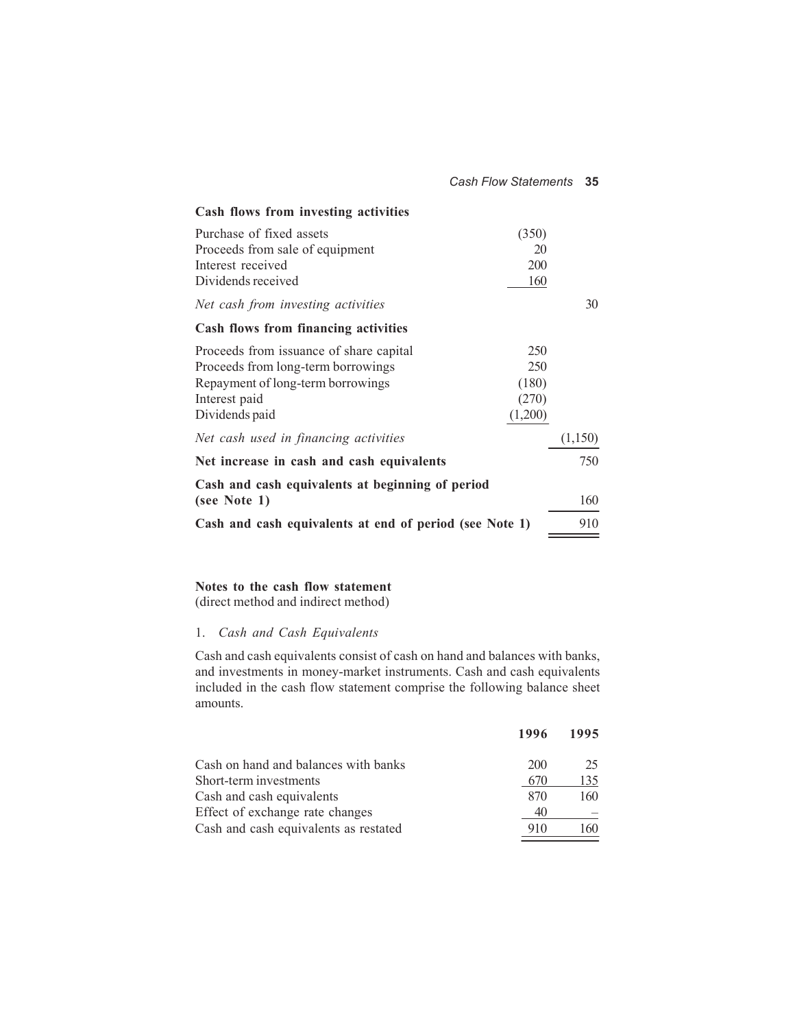| Cash flows from investing activities                    |         |         |
|---------------------------------------------------------|---------|---------|
| Purchase of fixed assets                                | (350)   |         |
| Proceeds from sale of equipment                         | 20      |         |
| Interest received                                       | 200     |         |
| Dividends received                                      | 160     |         |
| Net cash from investing activities                      |         | 30      |
| Cash flows from financing activities                    |         |         |
| Proceeds from issuance of share capital                 | 250     |         |
| Proceeds from long-term borrowings                      | 250     |         |
| Repayment of long-term borrowings                       | (180)   |         |
| Interest paid                                           | (270)   |         |
| Dividends paid                                          | (1,200) |         |
| Net cash used in financing activities                   |         | (1,150) |
| Net increase in cash and cash equivalents               |         | 750     |
| Cash and cash equivalents at beginning of period        |         |         |
| (see Note 1)                                            |         | 160     |
| Cash and cash equivalents at end of period (see Note 1) |         | 910     |

# **Notes to the cash flow statement**

(direct method and indirect method)

#### 1. *Cash and Cash Equivalents*

Cash and cash equivalents consist of cash on hand and balances with banks, and investments in money-market instruments. Cash and cash equivalents included in the cash flow statement comprise the following balance sheet amounts.

| 1996 | 1995 |
|------|------|
| 200  | 25   |
|      | 135  |
| 870  | 160  |
| 40   |      |
| 910  | 160  |
|      |      |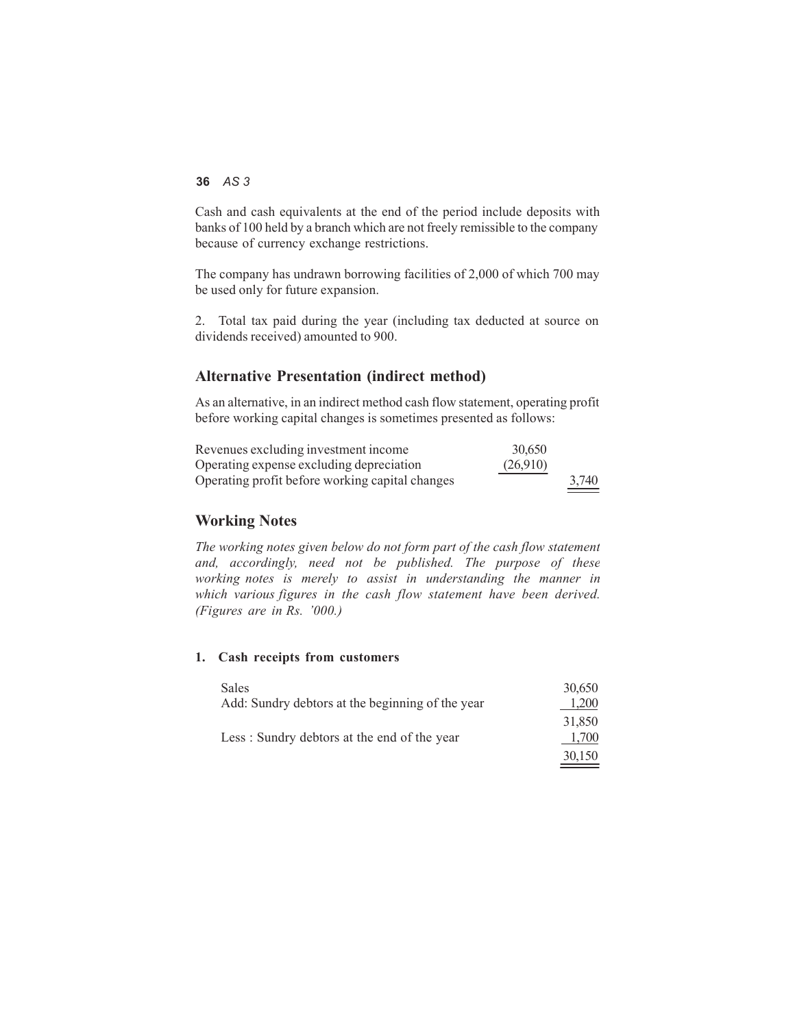Cash and cash equivalents at the end of the period include deposits with banks of 100 held by a branch which are not freely remissible to the company because of currency exchange restrictions.

The company has undrawn borrowing facilities of 2,000 of which 700 may be used only for future expansion.

2. Total tax paid during the year (including tax deducted at source on dividends received) amounted to 900.

#### **Alternative Presentation (indirect method)**

As an alternative, in an indirect method cash flow statement, operating profit before working capital changes is sometimes presented as follows:

| Revenues excluding investment income            | 30.650   |       |
|-------------------------------------------------|----------|-------|
| Operating expense excluding depreciation        | (26,910) |       |
| Operating profit before working capital changes |          | 3,740 |

#### **Working Notes**

*The working notes given below do not form part of the cash flow statement and, accordingly, need not be published. The purpose of these working notes is merely to assist in understanding the manner in which various figures in the cash flow statement have been derived. (Figures are in Rs. '000.)*

#### **1. Cash receipts from customers**

| <b>Sales</b>                                     | 30,650 |
|--------------------------------------------------|--------|
| Add: Sundry debtors at the beginning of the year | 1,200  |
|                                                  | 31,850 |
| Less: Sundry debtors at the end of the year      | 1.700  |
|                                                  | 30,150 |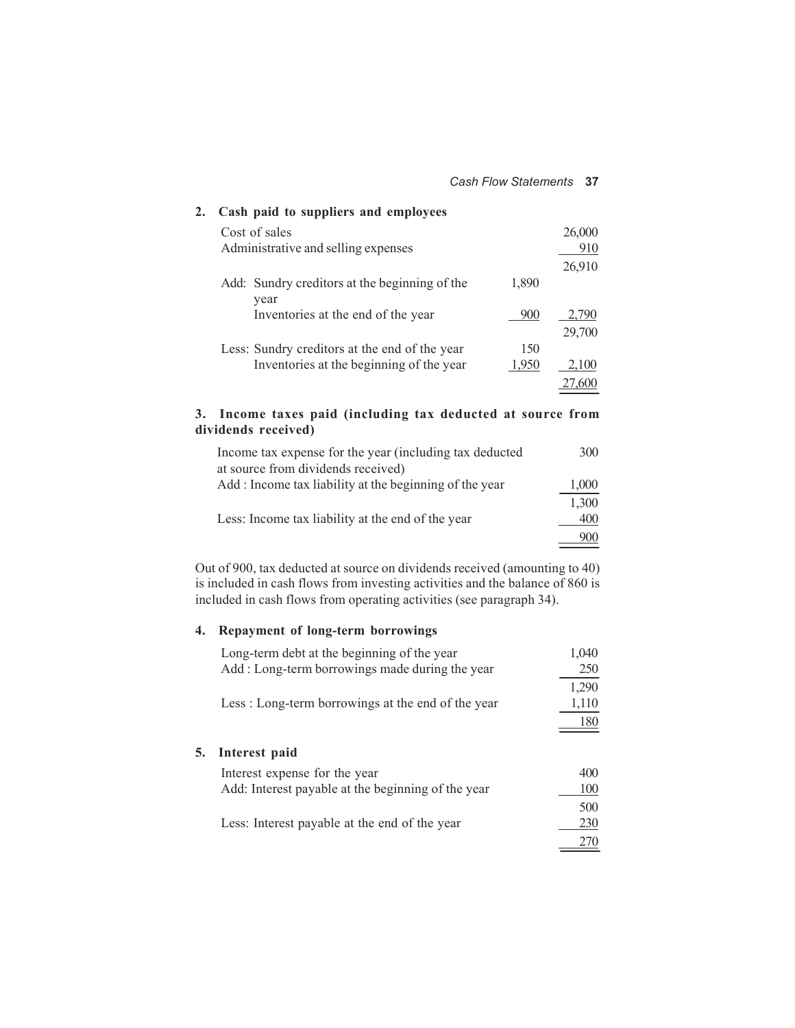| 2. | Cash paid to suppliers and employees                  |       |                 |
|----|-------------------------------------------------------|-------|-----------------|
|    | Cost of sales<br>Administrative and selling expenses  |       | 26,000<br>910   |
|    |                                                       |       | 26,910          |
|    | Add: Sundry creditors at the beginning of the<br>year | 1,890 |                 |
|    | Inventories at the end of the year                    | 900   | 2.790<br>29,700 |
|    | Less: Sundry creditors at the end of the year         | 150   |                 |
|    | Inventories at the beginning of the year              | .950  | 2.100           |
|    |                                                       |       |                 |

#### **3. Income taxes paid (including tax deducted at source from dividends received)**

| Income tax expense for the year (including tax deducted | 300         |
|---------------------------------------------------------|-------------|
| at source from dividends received)                      |             |
| Add: Income tax liability at the beginning of the year  | 1,000       |
|                                                         | 1,300       |
| Less: Income tax liability at the end of the year       | 400         |
|                                                         | $\Theta(0)$ |

Out of 900, tax deducted at source on dividends received (amounting to 40) is included in cash flows from investing activities and the balance of 860 is included in cash flows from operating activities (see paragraph 34).

#### **4. Repayment of long-term borrowings**

| Long-term debt at the beginning of the year        | 1,040 |
|----------------------------------------------------|-------|
| Add : Long-term borrowings made during the year    | 250   |
|                                                    | 1,290 |
| Less: Long-term borrowings at the end of the year  | 1,110 |
|                                                    | 180   |
| Interest paid                                      |       |
| Interest expense for the year                      | 400   |
| Add: Interest payable at the beginning of the year | 100   |
|                                                    | 500   |
| Less: Interest payable at the end of the year      | 230   |
|                                                    | 270   |
|                                                    |       |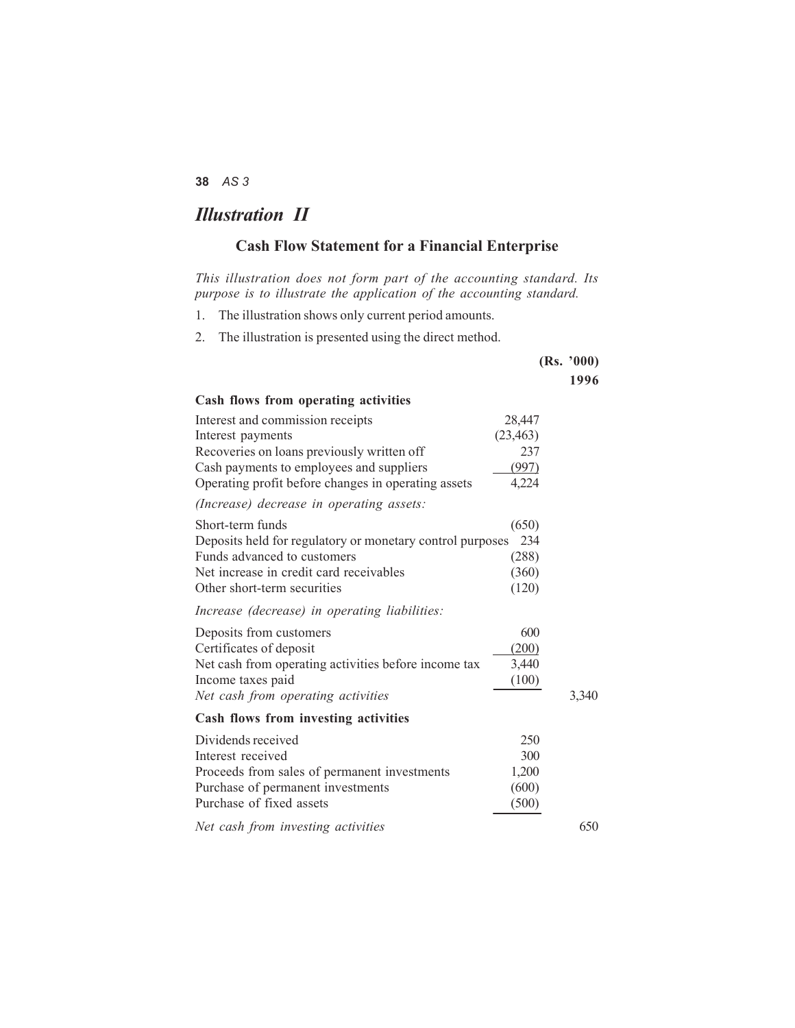## *Illustration II*

## **Cash Flow Statement for a Financial Enterprise**

*This illustration does not form part of the accounting standard. Its purpose is to illustrate the application of the accounting standard.*

- 1. The illustration shows only current period amounts.
- 2. The illustration is presented using the direct method.

|                                                           |           | (Rs. '000) |
|-----------------------------------------------------------|-----------|------------|
|                                                           |           | 1996       |
| Cash flows from operating activities                      |           |            |
| Interest and commission receipts                          | 28,447    |            |
| Interest payments                                         | (23, 463) |            |
| Recoveries on loans previously written off                | 237       |            |
| Cash payments to employees and suppliers                  | (997)     |            |
| Operating profit before changes in operating assets       | 4,224     |            |
| (Increase) decrease in operating assets:                  |           |            |
| Short-term funds                                          | (650)     |            |
| Deposits held for regulatory or monetary control purposes | 234       |            |
| Funds advanced to customers                               | (288)     |            |
| Net increase in credit card receivables                   | (360)     |            |
| Other short-term securities                               | (120)     |            |
| Increase (decrease) in operating liabilities:             |           |            |
| Deposits from customers                                   | 600       |            |
| Certificates of deposit                                   | (200)     |            |
| Net cash from operating activities before income tax      | 3,440     |            |
| Income taxes paid                                         | (100)     |            |
| Net cash from operating activities                        |           | 3,340      |
| Cash flows from investing activities                      |           |            |
| Dividends received                                        | 250       |            |
| Interest received                                         | 300       |            |
| Proceeds from sales of permanent investments              | 1,200     |            |
| Purchase of permanent investments                         | (600)     |            |
| Purchase of fixed assets                                  | (500)     |            |
| Net cash from investing activities                        |           | 650        |